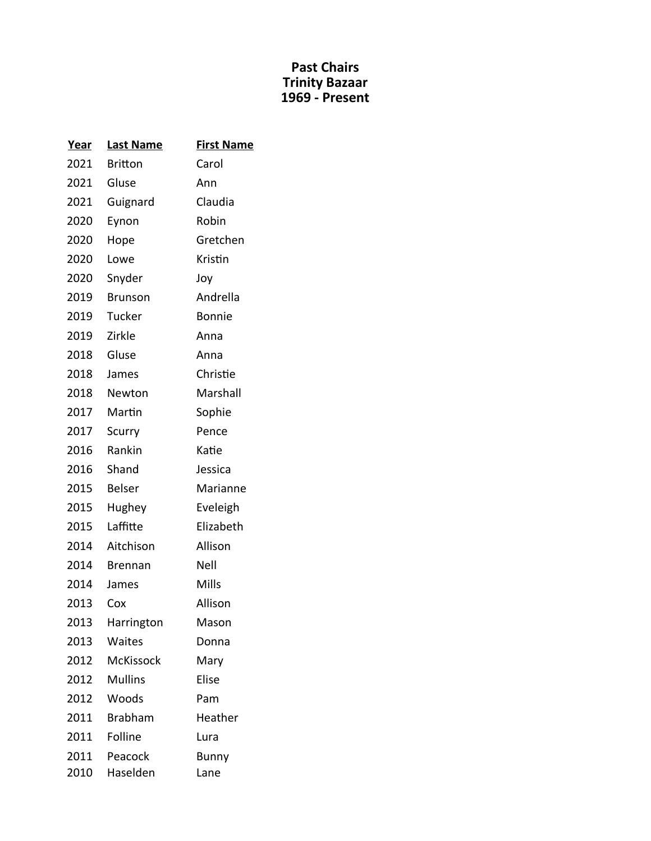| Year | <b>Last Name</b> | <b>First Name</b> |
|------|------------------|-------------------|
| 2021 | <b>Britton</b>   | Carol             |
| 2021 | Gluse            | Ann               |
| 2021 | Guignard         | Claudia           |
| 2020 | Eynon            | Robin             |
| 2020 | Hope             | Gretchen          |
| 2020 | Lowe             | Kristin           |
| 2020 | Snyder           | Joy               |
| 2019 | Brunson          | Andrella          |
| 2019 | Tucker           | <b>Bonnie</b>     |
| 2019 | Zirkle           | Anna              |
| 2018 | Gluse            | Anna              |
| 2018 | James            | Christie          |
| 2018 | Newton           | Marshall          |
| 2017 | Martin           | Sophie            |
| 2017 | Scurry           | Pence             |
| 2016 | Rankin           | Katie             |
| 2016 | Shand            | Jessica           |
| 2015 | <b>Belser</b>    | Marianne          |
| 2015 | Hughey           | Eveleigh          |
| 2015 | Laffitte         | Elizabeth         |
| 2014 | Aitchison        | Allison           |
| 2014 | <b>Brennan</b>   | Nell              |
| 2014 | James            | Mills             |
| 2013 | Cox              | Allison           |
| 2013 | Harrington       | Mason             |
| 2013 | Waites           | Donna             |
| 2012 | <b>McKissock</b> | Mary              |
| 2012 | <b>Mullins</b>   | Elise             |
| 2012 | Woods            | Pam               |
| 2011 | <b>Brabham</b>   | Heather           |
| 2011 | Folline          | Lura              |
| 2011 | Peacock          | Bunny             |
| 2010 | Haselden         | Lane              |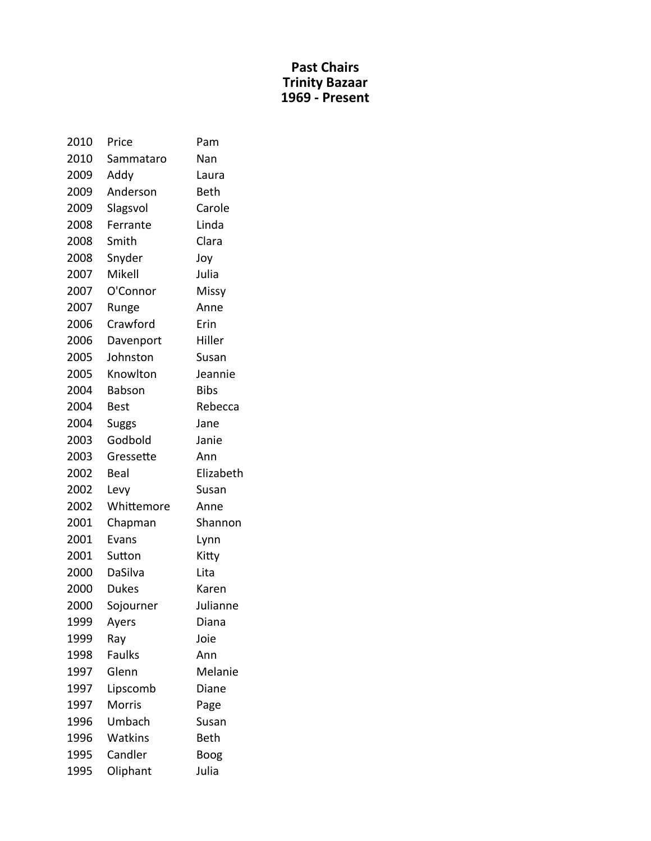| 2010 | Price         | Pam         |
|------|---------------|-------------|
| 2010 | Sammataro     | Nan         |
| 2009 | Addy          | Laura       |
| 2009 | Anderson      | <b>Beth</b> |
| 2009 | Slagsvol      | Carole      |
| 2008 | Ferrante      | Linda       |
| 2008 | Smith         | Clara       |
| 2008 | Snyder        | Joy         |
| 2007 | Mikell        | Julia       |
| 2007 | O'Connor      | Missy       |
| 2007 | Runge         | Anne        |
| 2006 | Crawford      | Erin        |
| 2006 | Davenport     | Hiller      |
| 2005 | Johnston      | Susan       |
| 2005 | Knowlton      | Jeannie     |
| 2004 | <b>Babson</b> | <b>Bibs</b> |
| 2004 | <b>Best</b>   | Rebecca     |
| 2004 | Suggs         | Jane        |
| 2003 | Godbold       | Janie       |
| 2003 | Gressette     | Ann         |
| 2002 | Beal          | Elizabeth   |
| 2002 | Levy          | Susan       |
| 2002 | Whittemore    | Anne        |
| 2001 | Chapman       | Shannon     |
| 2001 | Evans         | Lynn        |
| 2001 | Sutton        | Kitty       |
| 2000 | DaSilva       | Lita        |
| 2000 | <b>Dukes</b>  | Karen       |
| 2000 | Sojourner     | Julianne    |
| 1999 | Ayers         | Diana       |
| 1999 | Ray           | Joie        |
| 1998 | <b>Faulks</b> | Ann         |
| 1997 | Glenn         | Melanie     |
| 1997 | Lipscomb      | Diane       |
| 1997 | <b>Morris</b> | Page        |
| 1996 | Umbach        | Susan       |
| 1996 | Watkins       | Beth        |
| 1995 | Candler       | Boog        |
| 1995 | Oliphant      | Julia       |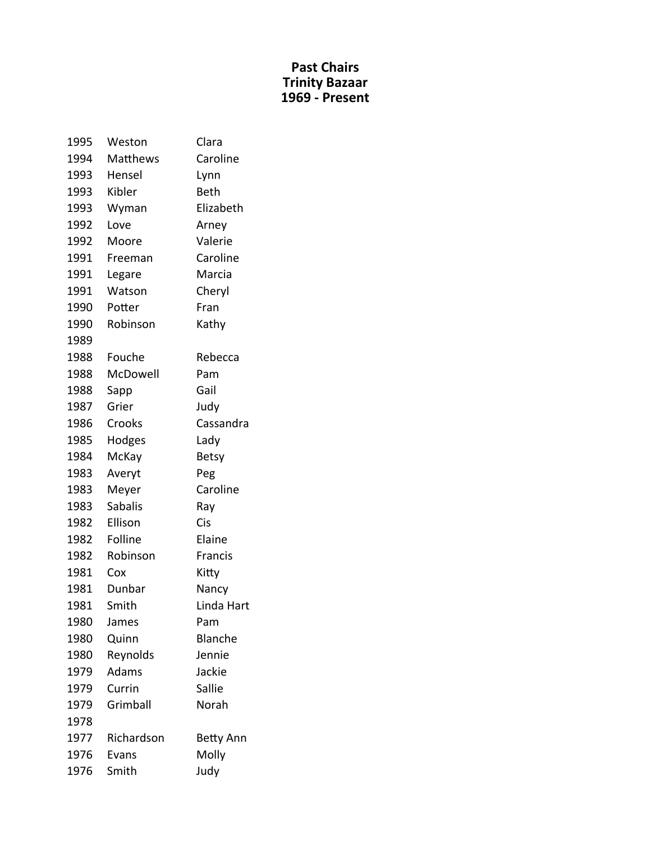| 1995 | Weston         | Clara            |
|------|----------------|------------------|
| 1994 | Matthews       | Caroline         |
| 1993 | Hensel         | Lynn             |
| 1993 | Kibler         | <b>Beth</b>      |
| 1993 | Wyman          | Elizabeth        |
| 1992 | Love           | Arney            |
| 1992 | Moore          | Valerie          |
| 1991 | Freeman        | Caroline         |
| 1991 | Legare         | Marcia           |
| 1991 | Watson         | Cheryl           |
| 1990 | Potter         | Fran             |
| 1990 | Robinson       | Kathy            |
| 1989 |                |                  |
| 1988 | Fouche         | Rebecca          |
| 1988 | McDowell       | Pam              |
| 1988 | Sapp           | Gail             |
| 1987 | Grier          | Judy             |
| 1986 | Crooks         | Cassandra        |
| 1985 | Hodges         | Lady             |
| 1984 | McKay          | <b>Betsy</b>     |
| 1983 | Averyt         | Peg              |
| 1983 | Meyer          | Caroline         |
| 1983 | <b>Sabalis</b> | Ray              |
| 1982 | Ellison        | Cis              |
| 1982 | Folline        | Elaine           |
| 1982 | Robinson       | Francis          |
| 1981 | Cox            | Kitty            |
| 1981 | Dunbar         | Nancy            |
| 1981 | Smith          | Linda Hart       |
| 1980 | James          | Pam              |
| 1980 | Quinn          | <b>Blanche</b>   |
| 1980 | Reynolds       | Jennie           |
| 1979 | Adams          | Jackie           |
| 1979 | Currin         | Sallie           |
| 1979 | Grimball       | Norah            |
| 1978 |                |                  |
| 1977 | Richardson     | <b>Betty Ann</b> |
| 1976 | Evans          | Molly            |
| 1976 | Smith          | Judy             |